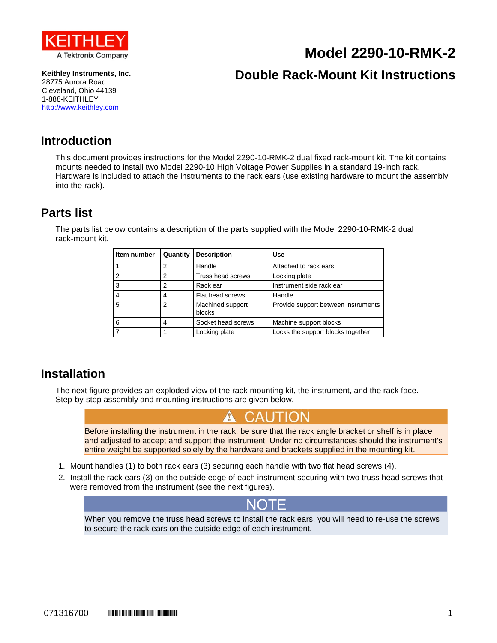

# **Model 2290-10-RMK-2**

**Keithley Instruments, Inc.** 28775 Aurora Road Cleveland, Ohio 44139 1-888-KEITHLEY [http://www.keithley.com](http://www.keithley.com/)

# **Double Rack-Mount Kit Instructions**

## **Introduction**

This document provides instructions for the Model 2290-10-RMK-2 dual fixed rack-mount kit. The kit contains mounts needed to install two Model 2290-10 High Voltage Power Supplies in a standard 19-inch rack. Hardware is included to attach the instruments to the rack ears (use existing hardware to mount the assembly into the rack).

### <span id="page-0-0"></span>**Parts list**

The parts list below contains a description of the parts supplied with the Model 2290-10-RMK-2 dual rack-mount kit.

| Item number    | Quantity | <b>Description</b>         | Use                                 |
|----------------|----------|----------------------------|-------------------------------------|
|                | 2        | Handle                     | Attached to rack ears               |
| $\overline{2}$ | 2        | Truss head screws          | Locking plate                       |
| 3              | 2        | Rack ear                   | Instrument side rack ear            |
| $\overline{4}$ | 4        | Flat head screws           | Handle                              |
| 5              | 2        | Machined support<br>blocks | Provide support between instruments |
| 6              | 4        | Socket head screws         | Machine support blocks              |
|                |          | Locking plate              | Locks the support blocks together   |

### **Installation**

The next figure provides an exploded view of the rack mounting kit, the instrument, and the rack face. Step-by-step assembly and mounting instructions are given below.



When you remove the truss head screws to install the rack ears, you will need to re-use the screws to secure the rack ears on the outside edge of each instrument.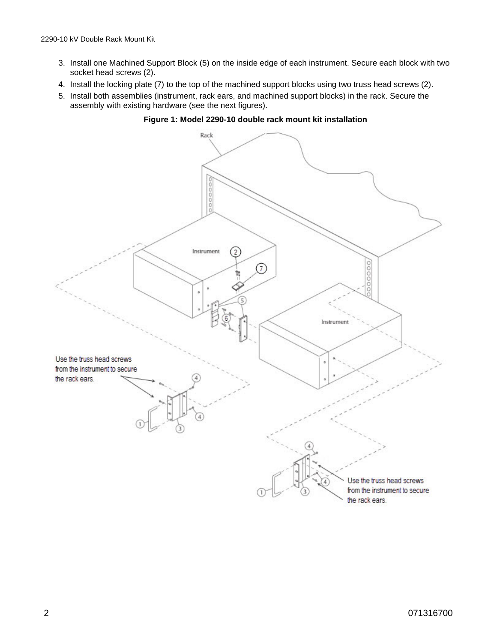- 3. Install one Machined Support Block (5) on the inside edge of each instrument. Secure each block with two socket head screws (2).
- 4. Install the locking plate (7) to the top of the machined support blocks using two truss head screws (2).
- 5. Install both assemblies (instrument, rack ears, and machined support blocks) in the rack. Secure the assembly with existing hardware (see the next figures).



**Figure 1: Model 2290-10 double rack mount kit installation**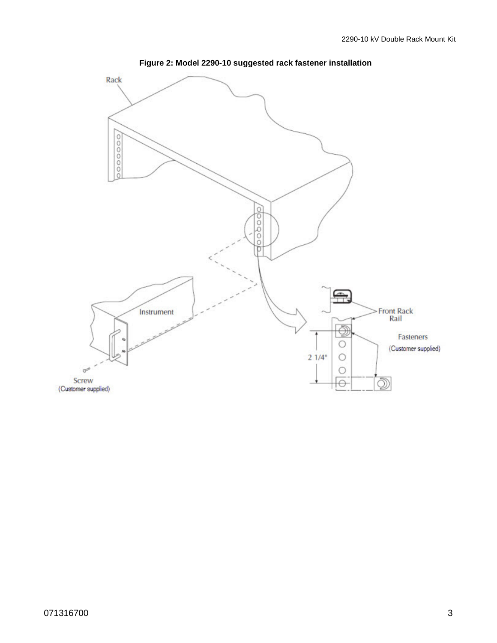

**Figure 2: Model 2290-10 suggested rack fastener installation**